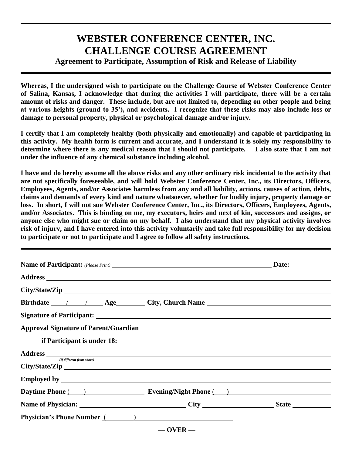## **WEBSTER CONFERENCE CENTER, INC. CHALLENGE COURSE AGREEMENT Agreement to Participate, Assumption of Risk and Release of Liability**

## **Whereas, I the undersigned wish to participate on the Challenge Course of Webster Conference Center of Salina, Kansas, I acknowledge that during the activities I will participate, there will be a certain amount of risks and danger. These include, but are not limited to, depending on other people and being at various heights (ground to 35'), and accidents. I recognize that these risks may also include loss or**

**damage to personal property, physical or psychological damage and/or injury.**

**I certify that I am completely healthy (both physically and emotionally) and capable of participating in this activity. My health form is current and accurate, and I understand it is solely my responsibility to determine where there is any medical reason that I should not participate. I also state that I am not under the influence of any chemical substance including alcohol.**

**I have and do hereby assume all the above risks and any other ordinary risk incidental to the activity that are not specifically foreseeable, and will hold Webster Conference Center, Inc., its Directors, Officers, Employees, Agents, and/or Associates harmless from any and all liability, actions, causes of action, debts, claims and demands of every kind and nature whatsoever, whether for bodily injury, property damage or loss. In short, I will not sue Webster Conference Center, Inc., its Directors, Officers, Employees, Agents, and/or Associates. This is binding on me, my executors, heirs and next of kin, successors and assigns, or anyone else who might sue or claim on my behalf. I also understand that my physical activity involves risk of injury, and I have entered into this activity voluntarily and take full responsibility for my decision to participate or not to participate and I agree to follow all safety instructions.**

|                                                                                                                                                                                                                                | Date:        |  |
|--------------------------------------------------------------------------------------------------------------------------------------------------------------------------------------------------------------------------------|--------------|--|
|                                                                                                                                                                                                                                |              |  |
| City/State/Zip                                                                                                                                                                                                                 |              |  |
| Birthdate 1 Age City, Church Name                                                                                                                                                                                              |              |  |
|                                                                                                                                                                                                                                |              |  |
| <b>Approval Signature of Parent/Guardian</b>                                                                                                                                                                                   |              |  |
|                                                                                                                                                                                                                                |              |  |
|                                                                                                                                                                                                                                |              |  |
| (If different from above)                                                                                                                                                                                                      |              |  |
|                                                                                                                                                                                                                                |              |  |
| Daytime Phone () Evening/Night Phone ()                                                                                                                                                                                        |              |  |
|                                                                                                                                                                                                                                |              |  |
| Physician's Phone Number (Separation of the Separation of the Separation of the Separation of the Separation of the Separation of the Separation of the Separation of the Separation of the Separation of the Separation of th |              |  |
|                                                                                                                                                                                                                                | $-$ OVER $-$ |  |